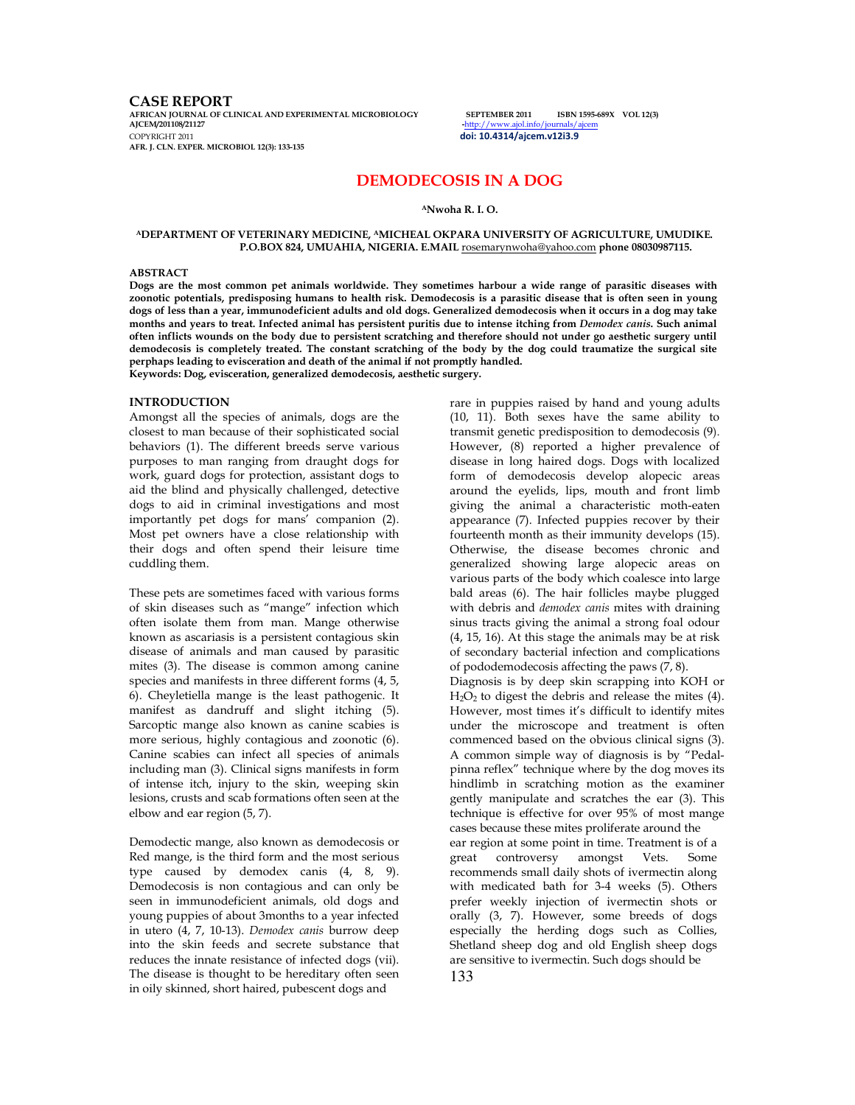CASE REPORT AFRICAN JOURNAL OF CLINICAL AND EXPERIMENTAL MICROBIOLOGY SEPTEMBER 2011 ISBN 1595-689X VOL 12(3)<br>AJCEM/201108/21127 - http://www.ajol.info/journals/ajcem COPYRIGHT 2011 doi: 10.4314/ajcem.v12i3.9 AFR. J. CLN. EXPER. MICROBIOL 12(3): 133-135

http://www.ajol.info/journals/ajcem

# DEMODECOSIS IN A DOG

<sup>A</sup>Nwoha R. I. O.

### <sup>A</sup>DEPARTMENT OF VETERINARY MEDICINE, AMICHEAL OKPARA UNIVERSITY OF AGRICULTURE, UMUDIKE. P.O.BOX 824, UMUAHIA, NIGERIA. E.MAIL rosemarynwoha@yahoo.com phone 08030987115.

#### ABSTRACT

Dogs are the most common pet animals worldwide. They sometimes harbour a wide range of parasitic diseases with zoonotic potentials, predisposing humans to health risk. Demodecosis is a parasitic disease that is often seen in young dogs of less than a year, immunodeficient adults and old dogs. Generalized demodecosis when it occurs in a dog may take months and years to treat. Infected animal has persistent puritis due to intense itching from Demodex canis. Such animal often inflicts wounds on the body due to persistent scratching and therefore should not under go aesthetic surgery until demodecosis is completely treated. The constant scratching of the body by the dog could traumatize the surgical site perphaps leading to evisceration and death of the animal if not promptly handled. Keywords: Dog, evisceration, generalized demodecosis, aesthetic surgery.

# INTRODUCTION

Amongst all the species of animals, dogs are the closest to man because of their sophisticated social behaviors (1). The different breeds serve various purposes to man ranging from draught dogs for work, guard dogs for protection, assistant dogs to aid the blind and physically challenged, detective dogs to aid in criminal investigations and most importantly pet dogs for mans' companion (2). Most pet owners have a close relationship with their dogs and often spend their leisure time cuddling them.

These pets are sometimes faced with various forms of skin diseases such as "mange" infection which often isolate them from man. Mange otherwise known as ascariasis is a persistent contagious skin disease of animals and man caused by parasitic mites (3). The disease is common among canine species and manifests in three different forms (4, 5, 6). Cheyletiella mange is the least pathogenic. It manifest as dandruff and slight itching (5). Sarcoptic mange also known as canine scabies is more serious, highly contagious and zoonotic (6). Canine scabies can infect all species of animals including man (3). Clinical signs manifests in form of intense itch, injury to the skin, weeping skin lesions, crusts and scab formations often seen at the elbow and ear region (5, 7).

Demodectic mange, also known as demodecosis or Red mange, is the third form and the most serious type caused by demodex canis (4, 8, 9). Demodecosis is non contagious and can only be seen in immunodeficient animals, old dogs and young puppies of about 3months to a year infected in utero (4, 7, 10-13). Demodex canis burrow deep into the skin feeds and secrete substance that reduces the innate resistance of infected dogs (vii). The disease is thought to be hereditary often seen in oily skinned, short haired, pubescent dogs and

rare in puppies raised by hand and young adults (10, 11). Both sexes have the same ability to transmit genetic predisposition to demodecosis (9). However, (8) reported a higher prevalence of disease in long haired dogs. Dogs with localized form of demodecosis develop alopecic areas around the eyelids, lips, mouth and front limb giving the animal a characteristic moth-eaten appearance (7). Infected puppies recover by their fourteenth month as their immunity develops (15). Otherwise, the disease becomes chronic and generalized showing large alopecic areas on various parts of the body which coalesce into large bald areas (6). The hair follicles maybe plugged with debris and *demodex canis* mites with draining sinus tracts giving the animal a strong foal odour (4, 15, 16). At this stage the animals may be at risk of secondary bacterial infection and complications of pododemodecosis affecting the paws (7, 8). Diagnosis is by deep skin scrapping into KOH or  $H<sub>2</sub>O<sub>2</sub>$  to digest the debris and release the mites (4). However, most times it's difficult to identify mites under the microscope and treatment is often commenced based on the obvious clinical signs (3). A common simple way of diagnosis is by "Pedalpinna reflex" technique where by the dog moves its hindlimb in scratching motion as the examiner gently manipulate and scratches the ear (3). This technique is effective for over 95% of most mange cases because these mites proliferate around the ear region at some point in time. Treatment is of a great controversy amongst Vets. Some recommends small daily shots of ivermectin along with medicated bath for 3-4 weeks (5). Others prefer weekly injection of ivermectin shots or orally (3, 7). However, some breeds of dogs especially the herding dogs such as Collies, Shetland sheep dog and old English sheep dogs are sensitive to ivermectin. Such dogs should be 133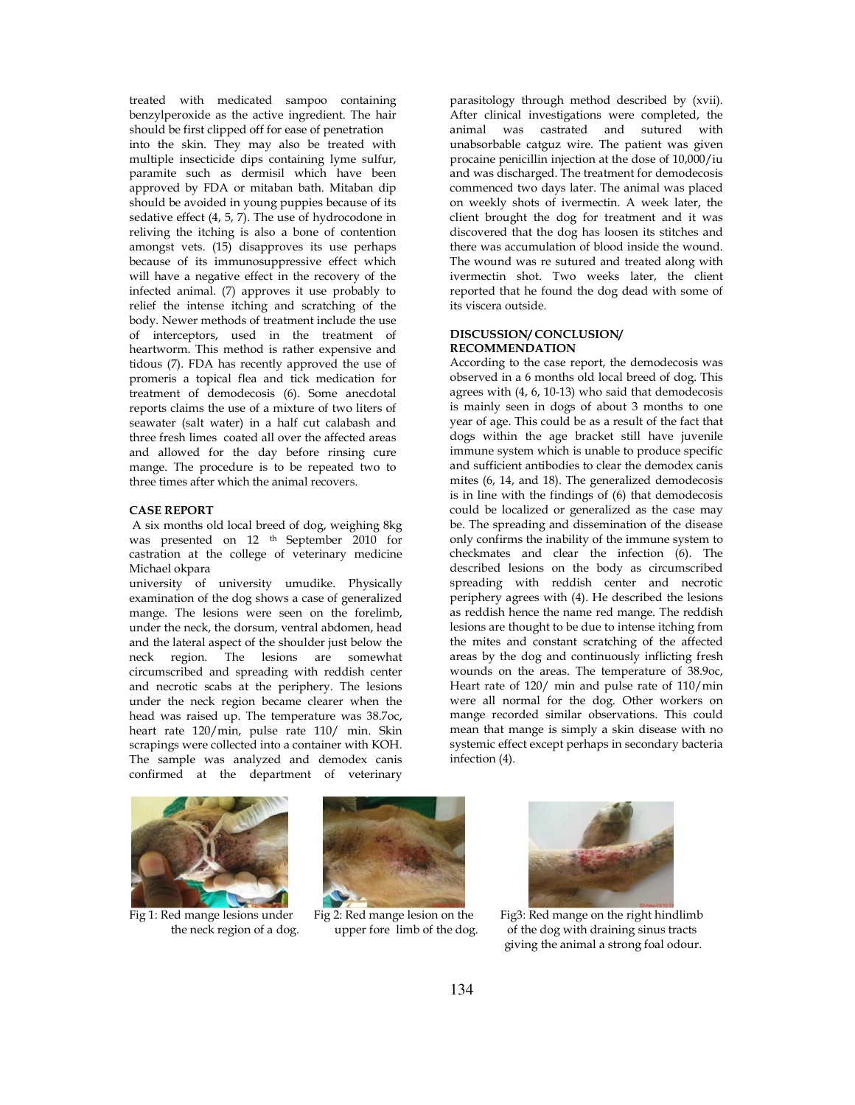treated with medicated sampoo containing benzylperoxide as the active ingredient. The hair should be first clipped off for ease of penetration into the skin. They may also be treated with multiple insecticide dips containing lyme sulfur, paramite such as dermisil which have been approved by FDA or mitaban bath. Mitaban dip should be avoided in young puppies because of its sedative effect (4, 5, 7). The use of hydrocodone in reliving the itching is also a bone of contention amongst vets. (15) disapproves its use perhaps because of its immunosuppressive effect which will have a negative effect in the recovery of the infected animal. (7) approves it use probably to relief the intense itching and scratching of the body. Newer methods of treatment include the use of interceptors, used in the treatment of heartworm. This method is rather expensive and tidous (7). FDA has recently approved the use of promeris a topical flea and tick medication for treatment of demodecosis (6). Some anecdotal reports claims the use of a mixture of two liters of seawater (salt water) in a half cut calabash and three fresh limes coated all over the affected areas and allowed for the day before rinsing cure mange. The procedure is to be repeated two to three times after which the animal recovers.

## CASE REPORT

 A six months old local breed of dog, weighing 8kg was presented on 12 th September 2010 for castration at the college of veterinary medicine Michael okpara

university of university umudike. Physically examination of the dog shows a case of generalized mange. The lesions were seen on the forelimb, under the neck, the dorsum, ventral abdomen, head and the lateral aspect of the shoulder just below the neck region. The lesions are somewhat circumscribed and spreading with reddish center and necrotic scabs at the periphery. The lesions under the neck region became clearer when the head was raised up. The temperature was 38.7oc, heart rate 120/min, pulse rate 110/ min. Skin scrapings were collected into a container with KOH. The sample was analyzed and demodex canis confirmed at the department of veterinary

parasitology through method described by (xvii). After clinical investigations were completed, the animal was castrated and sutured with unabsorbable catguz wire. The patient was given procaine penicillin injection at the dose of 10,000/iu and was discharged. The treatment for demodecosis commenced two days later. The animal was placed on weekly shots of ivermectin. A week later, the client brought the dog for treatment and it was discovered that the dog has loosen its stitches and there was accumulation of blood inside the wound. The wound was re sutured and treated along with ivermectin shot. Two weeks later, the client reported that he found the dog dead with some of its viscera outside.

# DISCUSSION/ CONCLUSION/ RECOMMENDATION

According to the case report, the demodecosis was observed in a 6 months old local breed of dog. This agrees with (4, 6, 10-13) who said that demodecosis is mainly seen in dogs of about 3 months to one year of age. This could be as a result of the fact that dogs within the age bracket still have juvenile immune system which is unable to produce specific and sufficient antibodies to clear the demodex canis mites (6, 14, and 18). The generalized demodecosis is in line with the findings of (6) that demodecosis could be localized or generalized as the case may be. The spreading and dissemination of the disease only confirms the inability of the immune system to checkmates and clear the infection (6). The described lesions on the body as circumscribed spreading with reddish center and necrotic periphery agrees with (4). He described the lesions as reddish hence the name red mange. The reddish lesions are thought to be due to intense itching from the mites and constant scratching of the affected areas by the dog and continuously inflicting fresh wounds on the areas. The temperature of 38.9oc, Heart rate of 120/ min and pulse rate of 110/min were all normal for the dog. Other workers on mange recorded similar observations. This could mean that mange is simply a skin disease with no systemic effect except perhaps in secondary bacteria infection (4).



Fig 1: Red mange lesions under





Fig 2: Red mange lesion on the Fig3: Red mange on the right hindlimb the neck region of a dog. upper fore limb of the dog. of the dog with draining sinus tracts giving the animal a strong foal odour.